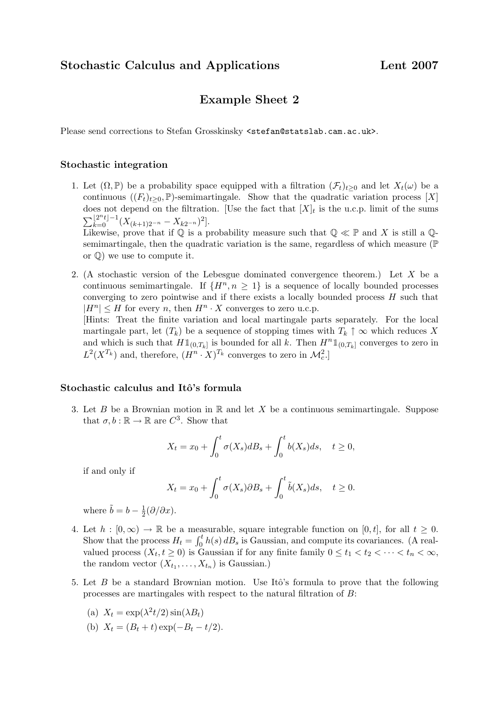## Example Sheet 2

Please send corrections to Stefan Grosskinsky <stefan@statslab.cam.ac.uk>.

## Stochastic integration

- 1. Let  $(\Omega, \mathbb{P})$  be a probability space equipped with a filtration  $(\mathcal{F}_t)_{t>0}$  and let  $X_t(\omega)$  be a continuous  $((F_t)_{t>0}, \mathbb{P})$ -semimartingale. Show that the quadratic variation process [X] does not depend on the filtration. [Use the fact that  $[X]_t$  is the u.c.p. limit of the sums  $\sum_{k=0}^{\lfloor 2^n t \rfloor - 1} (X_{(k+1)2^{-n}} - X_{k2^{-n}})^2].$ Likewise, prove that if  $\mathbb Q$  is a probability measure such that  $\mathbb Q \ll \mathbb P$  and X is still a  $\mathbb Q$ semimartingale, then the quadratic variation is the same, regardless of which measure (P or  $\mathbb{Q}$ ) we use to compute it.
- 2. (A stochastic version of the Lebesgue dominated convergence theorem.) Let X be a continuous semimartingale. If  $\{H^n, n \geq 1\}$  is a sequence of locally bounded processes converging to zero pointwise and if there exists a locally bounded process  $H$  such that  $|H^n| \leq H$  for every n, then  $H^n \cdot X$  converges to zero u.c.p.

[Hints: Treat the finite variation and local martingale parts separately. For the local martingale part, let  $(T_k)$  be a sequence of stopping times with  $T_k \uparrow \infty$  which reduces X and which is such that  $H1_{(0,T_k]}$  is bounded for all k. Then  $H^n1_{(0,T_k]}$  converges to zero in  $L^2(X^{T_k})$  and, therefore,  $(H^n \cdot X)^{T_k}$  converges to zero in  $\mathcal{M}_c^2$ .

## Stochastic calculus and Itô's formula

3. Let B be a Brownian motion in  $\mathbb R$  and let X be a continuous semimartingale. Suppose that  $\sigma, b : \mathbb{R} \to \mathbb{R}$  are  $C^3$ . Show that

$$
X_t = x_0 + \int_0^t \sigma(X_s) dB_s + \int_0^t b(X_s) ds, \quad t \ge 0,
$$

if and only if

$$
X_t = x_0 + \int_0^t \sigma(X_s) \partial B_s + \int_0^t \tilde{b}(X_s) ds, \quad t \ge 0.
$$

where  $\tilde{b} = b - \frac{1}{2}$  $rac{1}{2}(\partial/\partial x)$ .

- 4. Let  $h : [0, \infty) \to \mathbb{R}$  be a measurable, square integrable function on [0, t], for all  $t \geq 0$ . Show that the process  $H_t = \int_0^t h(s) dB_s$  is Gaussian, and compute its covariances. (A realvalued process  $(X_t, t \geq 0)$  is Gaussian if for any finite family  $0 \leq t_1 < t_2 < \cdots < t_n < \infty$ , the random vector  $(X_{t_1},...,X_{t_n})$  is Gaussian.)
- 5. Let  $B$  be a standard Brownian motion. Use Itô's formula to prove that the following processes are martingales with respect to the natural filtration of B:
	- (a)  $X_t = \exp(\lambda^2 t/2) \sin(\lambda B_t)$
	- (b)  $X_t = (B_t + t) \exp(-B_t t/2).$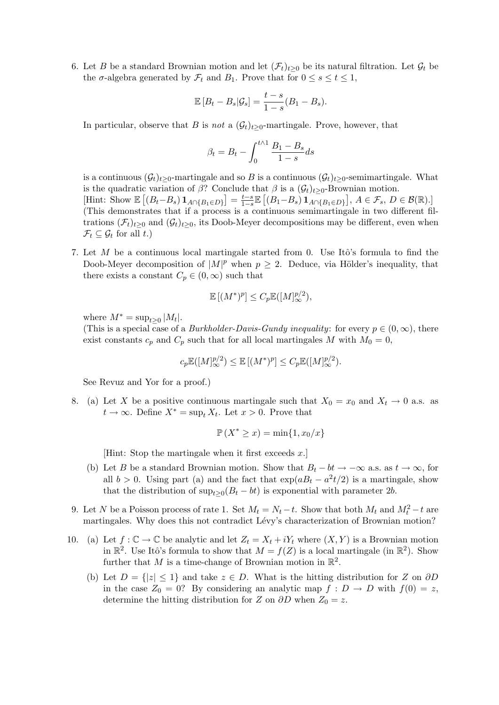6. Let B be a standard Brownian motion and let  $(\mathcal{F}_t)_{t\geq0}$  be its natural filtration. Let  $\mathcal{G}_t$  be the  $\sigma$ -algebra generated by  $\mathcal{F}_t$  and  $B_1$ . Prove that for  $0 \leq s \leq t \leq 1$ ,

$$
\mathbb{E}\left[B_t - B_s | \mathcal{G}_s\right] = \frac{t-s}{1-s}(B_1 - B_s).
$$

In particular, observe that B is not a  $(\mathcal{G}_t)_{t>0}$ -martingale. Prove, however, that

$$
\beta_t = B_t - \int_0^{t \wedge 1} \frac{B_1 - B_s}{1 - s} ds
$$

is a continuous  $(\mathcal{G}_t)_{t\geq0}$ -martingale and so B is a continuous  $(\mathcal{G}_t)_{t\geq0}$ -semimartingale. What is the quadratic variation of  $\beta$ ? Conclude that  $\beta$  is a  $(\mathcal{G}_t)_{t>0}$ -Brownian motion. [Hint: Show  $\mathbb{E}\left[\left(B_t-B_s\right)\mathbf{1}_{A\cap\{B_1\in D\}}\right]=\frac{t-s}{1-s}$  $\frac{t-s}{1-s}\mathbb{E}\left[ (B_1-B_s) \mathbf{1}_{A \cap \{B_1 \in D\}} \right], A \in \mathcal{F}_s, D \in \mathcal{B}(\mathbb{R}).$ (This demonstrates that if a process is a continuous semimartingale in two different filtrations  $(\mathcal{F}_t)_{t\geq0}$  and  $(\mathcal{G}_t)_{t\geq0}$ , its Doob-Meyer decompositions may be different, even when  $\mathcal{F}_t \subseteq \mathcal{G}_t$  for all  $t$ .)

7. Let  $M$  be a continuous local martingale started from 0. Use Itô's formula to find the Doob-Meyer decomposition of  $|M|^p$  when  $p \geq 2$ . Deduce, via Hölder's inequality, that there exists a constant  $C_p \in (0,\infty)$  such that

$$
\mathbb{E}[(M^*)^p] \le C_p \mathbb{E}([M]_{\infty}^{p/2}),
$$

where  $M^* = \sup_{t \geq 0} |M_t|$ .

(This is a special case of a *Burkholder-Davis-Gundy inequality*: for every  $p \in (0,\infty)$ , there exist constants  $c_p$  and  $C_p$  such that for all local martingales M with  $M_0 = 0$ ,

$$
c_p \mathbb{E}([M]_{\infty}^{p/2}) \leq \mathbb{E}[(M^*)^p] \leq C_p \mathbb{E}([M]_{\infty}^{p/2}).
$$

See Revuz and Yor for a proof.)

8. (a) Let X be a positive continuous martingale such that  $X_0 = x_0$  and  $X_t \to 0$  a.s. as  $t \to \infty$ . Define  $X^* = \sup_t X_t$ . Let  $x > 0$ . Prove that

$$
\mathbb{P}(X^* \geq x) = \min\{1, x_0/x\}
$$

[Hint: Stop the martingale when it first exceeds  $x$ .]

- (b) Let B be a standard Brownian motion. Show that  $B_t bt \to -\infty$  a.s. as  $t \to \infty$ , for all  $b > 0$ . Using part (a) and the fact that  $\exp(aB_t - a^2t/2)$  is a martingale, show that the distribution of  $\sup_{t\geq 0} (B_t - bt)$  is exponential with parameter 2b.
- 9. Let N be a Poisson process of rate 1. Set  $M_t = N_t t$ . Show that both  $M_t$  and  $M_t^2 t$  are martingales. Why does this not contradict Lévy's characterization of Brownian motion?
- 10. (a) Let  $f: \mathbb{C} \to \mathbb{C}$  be analytic and let  $Z_t = X_t + iY_t$  where  $(X, Y)$  is a Brownian motion in  $\mathbb{R}^2$ . Use Itô's formula to show that  $M = f(Z)$  is a local martingale (in  $\mathbb{R}^2$ ). Show further that M is a time-change of Brownian motion in  $\mathbb{R}^2$ .
	- (b) Let  $D = \{ |z| \leq 1 \}$  and take  $z \in D$ . What is the hitting distribution for Z on  $\partial D$ in the case  $Z_0 = 0$ ? By considering an analytic map  $f : D \to D$  with  $f(0) = z$ , determine the hitting distribution for Z on  $\partial D$  when  $Z_0 = z$ .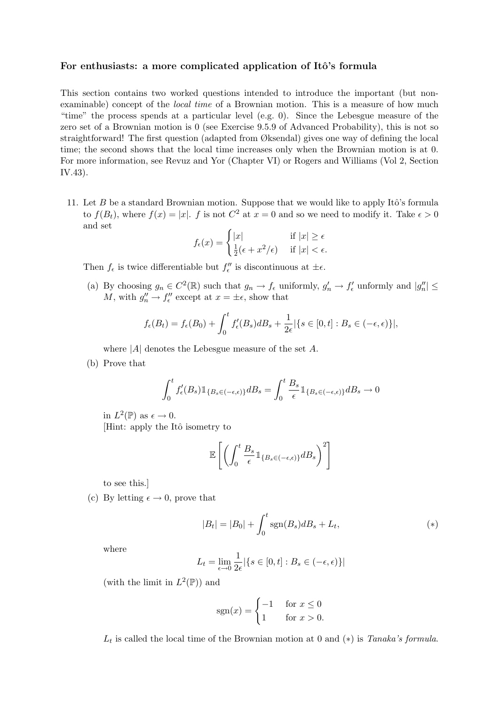## For enthusiasts: a more complicated application of Itô's formula

This section contains two worked questions intended to introduce the important (but nonexaminable) concept of the local time of a Brownian motion. This is a measure of how much "time" the process spends at a particular level (e.g. 0). Since the Lebesgue measure of the zero set of a Brownian motion is 0 (see Exercise 9.5.9 of Advanced Probability), this is not so straightforward! The first question (adapted from Øksendal) gives one way of defining the local time; the second shows that the local time increases only when the Brownian motion is at 0. For more information, see Revuz and Yor (Chapter VI) or Rogers and Williams (Vol 2, Section IV.43).

11. Let  $B$  be a standard Brownian motion. Suppose that we would like to apply Itô's formula to  $f(B_t)$ , where  $f(x) = |x|$ . f is not  $C^2$  at  $x = 0$  and so we need to modify it. Take  $\epsilon > 0$ and set

$$
f_{\epsilon}(x) = \begin{cases} |x| & \text{if } |x| \ge \epsilon \\ \frac{1}{2}(\epsilon + x^2/\epsilon) & \text{if } |x| < \epsilon. \end{cases}
$$

Then  $f_{\epsilon}$  is twice differentiable but  $f''_{\epsilon}$  is discontinuous at  $\pm \epsilon$ .

(a) By choosing  $g_n \in C^2(\mathbb{R})$  such that  $g_n \to f_{\epsilon}$  uniformly,  $g'_n \to f'_{\epsilon}$  unformly and  $|g''_n| \leq$ M, with  $g''_n \to f''_\epsilon$  except at  $x = \pm \epsilon$ , show that

$$
f_{\epsilon}(B_t) = f_{\epsilon}(B_0) + \int_0^t f_{\epsilon}'(B_s)dB_s + \frac{1}{2\epsilon} |\{s \in [0, t] : B_s \in (-\epsilon, \epsilon)\}|,
$$

where  $|A|$  denotes the Lebesgue measure of the set A.

(b) Prove that

$$
\int_0^t f_{\epsilon}'(B_s) \mathbb{1}_{\{B_s \in (-\epsilon,\epsilon)\}} dB_s = \int_0^t \frac{B_s}{\epsilon} \mathbb{1}_{\{B_s \in (-\epsilon,\epsilon)\}} dB_s \to 0
$$

in  $L^2(\mathbb{P})$  as  $\epsilon \to 0$ .

[Hint: apply the Itô isometry to

$$
\mathbb{E}\left[\left(\int_0^t \frac{B_s}{\epsilon} \mathbb{1}_{\{B_s \in (-\epsilon,\epsilon)\}} dB_s\right)^2\right]
$$

to see this.]

(c) By letting  $\epsilon \to 0$ , prove that

$$
|B_t| = |B_0| + \int_0^t \text{sgn}(B_s) dB_s + L_t,
$$
\n<sup>(\*)</sup>

where

$$
L_t = \lim_{\epsilon \to 0} \frac{1}{2\epsilon} |\{s \in [0, t] : B_s \in (-\epsilon, \epsilon)\}|
$$

(with the limit in  $L^2(\mathbb{P})$ ) and

$$
sgn(x) = \begin{cases} -1 & \text{for } x \le 0\\ 1 & \text{for } x > 0. \end{cases}
$$

 $L_t$  is called the local time of the Brownian motion at 0 and  $(*)$  is Tanaka's formula.